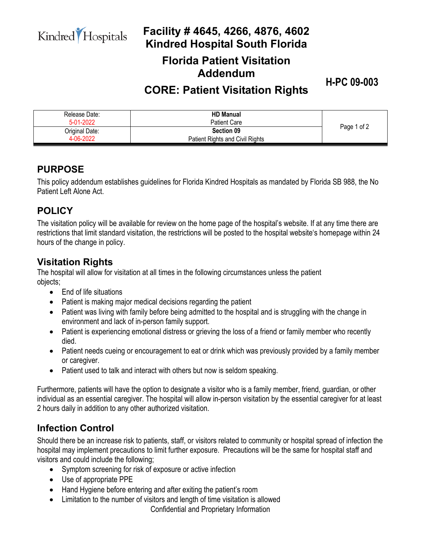

# **Facility # 4645, 4266, 4876, 4602 Kindred Hospital South Florida**

### **Florida Patient Visitation Addendum**

**CORE: Patient Visitation Rights H-PC 09-003**

|  | <b>UURE. PALIBIIL VISILALIUII RIYIILS</b> |  |
|--|-------------------------------------------|--|
|  |                                           |  |

| Release Date:  | <b>HD Manual</b>                |             |
|----------------|---------------------------------|-------------|
| 5-01-2022      | <b>Patient Care</b>             |             |
| Original Date: | <b>Section 09</b>               | Page 1 of 2 |
| 4-06-2022      | Patient Rights and Civil Rights |             |

#### **PURPOSE**

This policy addendum establishes guidelines for Florida Kindred Hospitals as mandated by Florida SB 988, the No Patient Left Alone Act.

### **POLICY**

The visitation policy will be available for review on the home page of the hospital's website. If at any time there are restrictions that limit standard visitation, the restrictions will be posted to the hospital website's homepage within 24 hours of the change in policy.

#### **Visitation Rights**

The hospital will allow for visitation at all times in the following circumstances unless the patient objects;

- End of life situations
- Patient is making major medical decisions regarding the patient
- Patient was living with family before being admitted to the hospital and is struggling with the change in environment and lack of in-person family support.
- Patient is experiencing emotional distress or grieving the loss of a friend or family member who recently died.
- Patient needs cueing or encouragement to eat or drink which was previously provided by a family member or caregiver.
- Patient used to talk and interact with others but now is seldom speaking.

Furthermore, patients will have the option to designate a visitor who is a family member, friend, guardian, or other individual as an essential caregiver. The hospital will allow in-person visitation by the essential caregiver for at least 2 hours daily in addition to any other authorized visitation.

### **Infection Control**

Should there be an increase risk to patients, staff, or visitors related to community or hospital spread of infection the hospital may implement precautions to limit further exposure. Precautions will be the same for hospital staff and visitors and could include the following;

- Symptom screening for risk of exposure or active infection
- Use of appropriate PPE
- Hand Hygiene before entering and after exiting the patient's room
- Limitation to the number of visitors and length of time visitation is allowed

Confidential and Proprietary Information